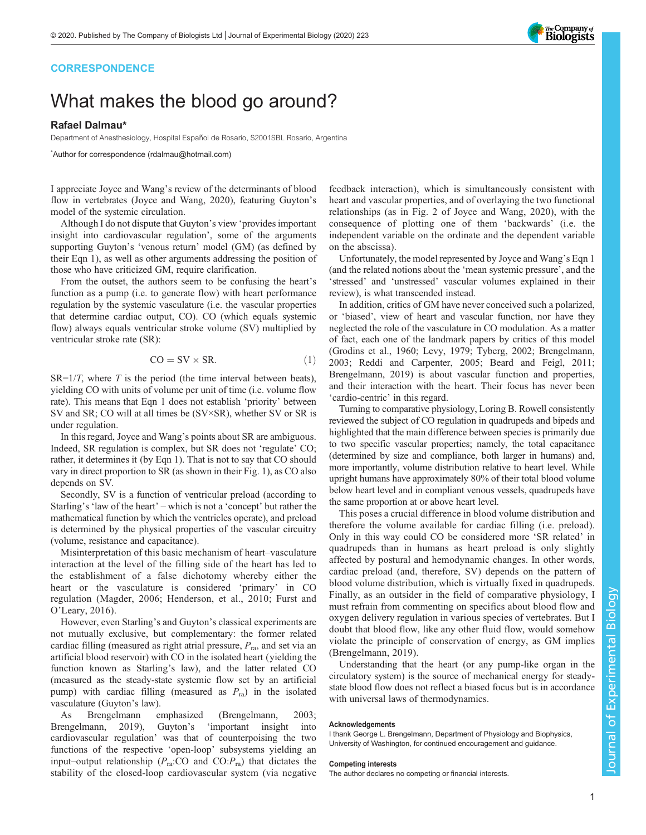### **CORRESPONDENCE**

# What makes the blood go around?

#### Rafael Dalmau\*

Department of Anesthesiology, Hospital Español de Rosario, S2001SBL Rosario, Argentina

\* Author for correspondence [\(rdalmau@hotmail.com\)](mailto:rdalmau@hotmail.com)

I appreciate Joyce and Wang's review of the determinants of blood flow in vertebrates ([Joyce and Wang, 2020\)](#page-1-0), featuring Guyton's model of the systemic circulation.

Although I do not dispute that Guyton's view 'provides important insight into cardiovascular regulation', some of the arguments supporting Guyton's 'venous return' model (GM) (as defined by their Eqn 1), as well as other arguments addressing the position of those who have criticized GM, require clarification.

From the outset, the authors seem to be confusing the heart's function as a pump (i.e. to generate flow) with heart performance regulation by the systemic vasculature (i.e. the vascular properties that determine cardiac output, CO). CO (which equals systemic flow) always equals ventricular stroke volume (SV) multiplied by ventricular stroke rate (SR):

$$
CO = SV \times SR.
$$
 (1)

 $SR=1/T$ , where T is the period (the time interval between beats), yielding CO with units of volume per unit of time (i.e. volume flow rate). This means that Eqn 1 does not establish 'priority' between SV and SR; CO will at all times be (SV×SR), whether SV or SR is under regulation.

In this regard, Joyce and Wang's points about SR are ambiguous. Indeed, SR regulation is complex, but SR does not 'regulate' CO; rather, it determines it (by Eqn 1). That is not to say that CO should vary in direct proportion to SR (as shown in their Fig. 1), as CO also depends on SV.

Secondly, SV is a function of ventricular preload (according to Starling's 'law of the heart' – which is not a 'concept' but rather the mathematical function by which the ventricles operate), and preload is determined by the physical properties of the vascular circuitry (volume, resistance and capacitance).

Misinterpretation of this basic mechanism of heart–vasculature interaction at the level of the filling side of the heart has led to the establishment of a false dichotomy whereby either the heart or the vasculature is considered 'primary' in CO regulation ([Magder, 2006](#page-1-0); [Henderson, et al., 2010; Furst and](#page-1-0) O'[Leary, 2016\)](#page-1-0).

However, even Starling's and Guyton's classical experiments are not mutually exclusive, but complementary: the former related cardiac filling (measured as right atrial pressure,  $P_{\text{ra}}$ , and set via an artificial blood reservoir) with CO in the isolated heart (yielding the function known as Starling's law), and the latter related CO (measured as the steady-state systemic flow set by an artificial pump) with cardiac filling (measured as  $P_{\text{ra}}$ ) in the isolated vasculature (Guyton's law).

As Brengelmann emphasized ([Brengelmann, 2003](#page-1-0); [Brengelmann, 2019\)](#page-1-0), Guyton's 'important insight into cardiovascular regulation' was that of counterpoising the two functions of the respective 'open-loop' subsystems yielding an input–output relationship ( $P_{ra}$ :CO and CO: $P_{ra}$ ) that dictates the stability of the closed-loop cardiovascular system (via negative feedback interaction), which is simultaneously consistent with heart and vascular properties, and of overlaying the two functional relationships (as in Fig. 2 of [Joyce and Wang, 2020](#page-1-0)), with the consequence of plotting one of them 'backwards' (i.e. the independent variable on the ordinate and the dependent variable on the abscissa).

Unfortunately, the model represented by Joyce and Wang's Eqn 1 (and the related notions about the 'mean systemic pressure', and the 'stressed' and 'unstressed' vascular volumes explained in their review), is what transcended instead.

In addition, critics of GM have never conceived such a polarized, or 'biased', view of heart and vascular function, nor have they neglected the role of the vasculature in CO modulation. As a matter of fact, each one of the landmark papers by critics of this model [\(Grodins et al., 1960](#page-1-0); [Levy, 1979](#page-1-0); [Tyberg, 2002](#page-1-0); [Brengelmann,](#page-1-0) [2003; Reddi and Carpenter, 2005](#page-1-0); [Beard and Feigl, 2011](#page-1-0); [Brengelmann, 2019\)](#page-1-0) is about vascular function and properties, and their interaction with the heart. Their focus has never been 'cardio-centric' in this regard.

Turning to comparative physiology, Loring B. Rowell consistently reviewed the subject of CO regulation in quadrupeds and bipeds and highlighted that the main difference between species is primarily due to two specific vascular properties; namely, the total capacitance (determined by size and compliance, both larger in humans) and, more importantly, volume distribution relative to heart level. While upright humans have approximately 80% of their total blood volume below heart level and in compliant venous vessels, quadrupeds have the same proportion at or above heart level.

This poses a crucial difference in blood volume distribution and therefore the volume available for cardiac filling (i.e. preload). Only in this way could CO be considered more 'SR related' in quadrupeds than in humans as heart preload is only slightly affected by postural and hemodynamic changes. In other words, cardiac preload (and, therefore, SV) depends on the pattern of blood volume distribution, which is virtually fixed in quadrupeds. Finally, as an outsider in the field of comparative physiology, I must refrain from commenting on specifics about blood flow and oxygen delivery regulation in various species of vertebrates. But I doubt that blood flow, like any other fluid flow, would somehow violate the principle of conservation of energy, as GM implies [\(Brengelmann, 2019](#page-1-0)).

Understanding that the heart (or any pump-like organ in the circulatory system) is the source of mechanical energy for steadystate blood flow does not reflect a biased focus but is in accordance with universal laws of thermodynamics.

#### Acknowledgements

I thank George L. Brengelmann, Department of Physiology and Biophysics, University of Washington, for continued encouragement and guidance.

#### Competing interests

The author declares no competing or financial interests.

1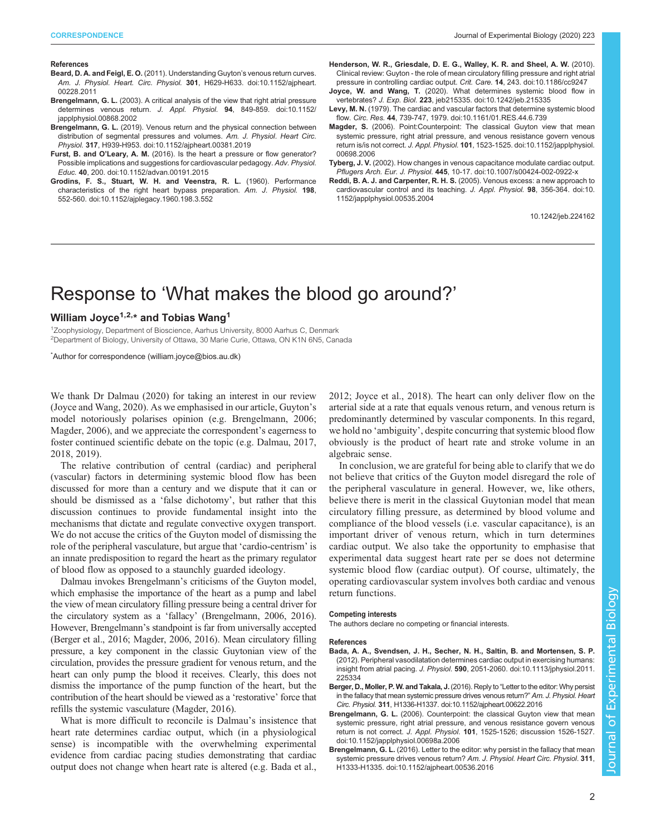#### <span id="page-1-0"></span>References

- Beard, D. A. and Feigl, E. O. [\(2011\). Understanding Guyton](https://doi.org/10.1152/ajpheart.00228.2011)'s venous return curves. [Am. J. Physiol. Heart. Circ. Physiol.](https://doi.org/10.1152/ajpheart.00228.2011) 301, H629-H633. doi:10.1152/ajpheart. [00228.2011](https://doi.org/10.1152/ajpheart.00228.2011)
- Brengelmann, G. L. [\(2003\). A critical analysis of the view that right atrial pressure](https://doi.org/10.1152/japplphysiol.00868.2002) [determines venous return.](https://doi.org/10.1152/japplphysiol.00868.2002) J. Appl. Physiol. 94, 849-859. doi:10.1152/ [japplphysiol.00868.2002](https://doi.org/10.1152/japplphysiol.00868.2002)
- Brengelmann, G. L. [\(2019\). Venous return and the physical connection between](https://doi.org/10.1152/ajpheart.00381.2019) [distribution of segmental pressures and volumes.](https://doi.org/10.1152/ajpheart.00381.2019) Am. J. Physiol. Heart Circ. Physiol. 317[, H939-H953. doi:10.1152/ajpheart.00381.2019](https://doi.org/10.1152/ajpheart.00381.2019)
- Furst, B. and O'Leary, A. M. [\(2016\). Is the heart a pressure or flow generator?](https://doi.org/10.1152/advan.00191.2015) [Possible implications and suggestions for cardiovascular pedagogy.](https://doi.org/10.1152/advan.00191.2015) Adv. Physiol. Educ. 40[, 200. doi:10.1152/advan.00191.2015](https://doi.org/10.1152/advan.00191.2015)
- [Grodins, F. S., Stuart, W. H. and Veenstra, R. L.](https://doi.org/10.1152/ajplegacy.1960.198.3.552) (1960). Performance [characteristics of the right heart bypass preparation.](https://doi.org/10.1152/ajplegacy.1960.198.3.552) Am. J. Physiol. 198, [552-560. doi:10.1152/ajplegacy.1960.198.3.552](https://doi.org/10.1152/ajplegacy.1960.198.3.552)
- [Henderson, W. R., Griesdale, D. E. G., Walley, K. R. and Sheel, A. W.](https://doi.org/10.1186/cc9247) (2010). [Clinical review: Guyton - the role of mean circulatory filling pressure and right atrial](https://doi.org/10.1186/cc9247) [pressure in controlling cardiac output.](https://doi.org/10.1186/cc9247) Crit. Care. 14, 243. doi:10.1186/cc9247
- Joyce, W. and Wang, T. [\(2020\). What determines systemic blood flow in](https://doi.org/10.1242/jeb.215335) vertebrates? J. Exp. Biol. 223[, jeb215335. doi:10.1242/jeb.215335](https://doi.org/10.1242/jeb.215335)
- Levy, M. N. [\(1979\). The cardiac and vascular factors that determine systemic blood](https://doi.org/10.1161/01.RES.44.6.739) flow. Circ. Res. 44[, 739-747, 1979. doi:10.1161/01.RES.44.6.739](https://doi.org/10.1161/01.RES.44.6.739)

Magder, S. [\(2006\). Point:Counterpoint: The classical Guyton view that mean](https://doi.org/10.1152/japplphysiol.00698.2006) [systemic pressure, right atrial pressure, and venous resistance govern venous](https://doi.org/10.1152/japplphysiol.00698.2006) return is/is not correct. J. Appl. Physiol. 101[, 1523-1525. doi:10.1152/japplphysiol.](https://doi.org/10.1152/japplphysiol.00698.2006) [00698.2006](https://doi.org/10.1152/japplphysiol.00698.2006)

Tyberg, J. V. [\(2002\). How changes in venous capacitance modulate cardiac output.](https://doi.org/10.1007/s00424-002-0922-x) Pflugers Arch. Eur. J. Physiol. 445[, 10-17. doi:10.1007/s00424-002-0922-x](https://doi.org/10.1007/s00424-002-0922-x)

Reddi, B. A. J. and Carpenter, R. H. S. [\(2005\). Venous excess: a new approach to](https://doi.org/10.1152/japplphysiol.00535.2004) [cardiovascular control and its teaching.](https://doi.org/10.1152/japplphysiol.00535.2004) J. Appl. Physiol. 98, 356-364. doi:10. [1152/japplphysiol.00535.2004](https://doi.org/10.1152/japplphysiol.00535.2004)

10.1242/jeb.224162

## Response to 'What makes the blood go around?'

## William Joyce<sup>1,2,\*</sup> and Tobias Wang<sup>1</sup>

<sup>1</sup>Zoophysiology, Department of Bioscience, Aarhus University, 8000 Aarhus C, Denmark 2Department of Biology, University of Ottawa, 30 Marie Curie, Ottawa, ON K1N 6N5, Canada

\* Author for correspondence [\(william.joyce@bios.au.dk\)](mailto:william.joyce@bios.au.dk)

We thank Dr [Dalmau \(2020](#page-2-0)) for taking an interest in our review [\(Joyce and Wang, 2020](#page-2-0)). As we emphasised in our article, Guyton's model notoriously polarises opinion (e.g. Brengelmann, 2006; [Magder, 2006\)](#page-2-0), and we appreciate the correspondent's eagerness to foster continued scientific debate on the topic (e.g. [Dalmau, 2017,](#page-2-0) [2018](#page-2-0), [2019](#page-2-0)).

The relative contribution of central (cardiac) and peripheral (vascular) factors in determining systemic blood flow has been discussed for more than a century and we dispute that it can or should be dismissed as a 'false dichotomy', but rather that this discussion continues to provide fundamental insight into the mechanisms that dictate and regulate convective oxygen transport. We do not accuse the critics of the Guyton model of dismissing the role of the peripheral vasculature, but argue that 'cardio-centrism' is an innate predisposition to regard the heart as the primary regulator of blood flow as opposed to a staunchly guarded ideology.

Dalmau invokes Brengelmann's criticisms of the Guyton model, which emphasise the importance of the heart as a pump and label the view of mean circulatory filling pressure being a central driver for the circulatory system as a 'fallacy' (Brengelmann, 2006, 2016). However, Brengelmann's standpoint is far from universally accepted (Berger et al., 2016; [Magder, 2006](#page-2-0), [2016](#page-2-0)). Mean circulatory filling pressure, a key component in the classic Guytonian view of the circulation, provides the pressure gradient for venous return, and the heart can only pump the blood it receives. Clearly, this does not dismiss the importance of the pump function of the heart, but the contribution of the heart should be viewed as a 'restorative' force that refills the systemic vasculature [\(Magder, 2016\)](#page-2-0).

What is more difficult to reconcile is Dalmau's insistence that heart rate determines cardiac output, which (in a physiological sense) is incompatible with the overwhelming experimental evidence from cardiac pacing studies demonstrating that cardiac output does not change when heart rate is altered (e.g. Bada et al.,

2012; [Joyce et al., 2018](#page-2-0)). The heart can only deliver flow on the arterial side at a rate that equals venous return, and venous return is predominantly determined by vascular components. In this regard, we hold no 'ambiguity', despite concurring that systemic blood flow obviously is the product of heart rate and stroke volume in an algebraic sense.

In conclusion, we are grateful for being able to clarify that we do not believe that critics of the Guyton model disregard the role of the peripheral vasculature in general. However, we, like others, believe there is merit in the classical Guytonian model that mean circulatory filling pressure, as determined by blood volume and compliance of the blood vessels (i.e. vascular capacitance), is an important driver of venous return, which in turn determines cardiac output. We also take the opportunity to emphasise that experimental data suggest heart rate per se does not determine systemic blood flow (cardiac output). Of course, ultimately, the operating cardiovascular system involves both cardiac and venous return functions.

#### Competing interests

The authors declare no competing or financial interests.

#### References

- [Bada, A. A., Svendsen, J. H., Secher, N. H., Saltin, B. and Mortensen, S. P.](https://doi.org/10.1113/jphysiol.2011.225334) [\(2012\). Peripheral vasodilatation determines cardiac output in exercising humans:](https://doi.org/10.1113/jphysiol.2011.225334) insight from atrial pacing. J. Physiol. 590[, 2051-2060. doi:10.1113/jphysiol.2011.](https://doi.org/10.1113/jphysiol.2011.225334) [225334](https://doi.org/10.1113/jphysiol.2011.225334)
- [Berger, D., Moller, P. W. and Takala, J.](https://doi.org/10.1152/ajpheart.00622.2016) (2016). Reply to "Letter to the editor: Why persist [in the fallacy that mean systemic](https://doi.org/10.1152/ajpheart.00622.2016) pressure drives venous return?" Am. J. Physiol. Heart Circ. Physiol. 311[, H1336-H1337. doi:10.1152/ajpheart.00622.2016](https://doi.org/10.1152/ajpheart.00622.2016)
- Brengelmann, G. L. [\(2006\). Counterpoint: the classical Guyton view that mean](https://doi.org/10.1152/japplphysiol.00698a.2006) [systemic pressure, right atrial pressure, and venous resistance govern venous](https://doi.org/10.1152/japplphysiol.00698a.2006) return is not correct. J. Appl. Physiol. 101[, 1525-1526; discussion 1526-1527.](https://doi.org/10.1152/japplphysiol.00698a.2006) [doi:10.1152/japplphysiol.00698a.2006](https://doi.org/10.1152/japplphysiol.00698a.2006)
- Brengelmann, G. L. [\(2016\). Letter to the editor: why persist in the fallacy that mean](https://doi.org/10.1152/ajpheart.00536.2016) [systemic pressure drives venous return?](https://doi.org/10.1152/ajpheart.00536.2016) Am. J. Physiol. Heart Circ. Physiol. 311, [H1333-H1335. doi:10.1152/ajpheart.00536.2016](https://doi.org/10.1152/ajpheart.00536.2016)